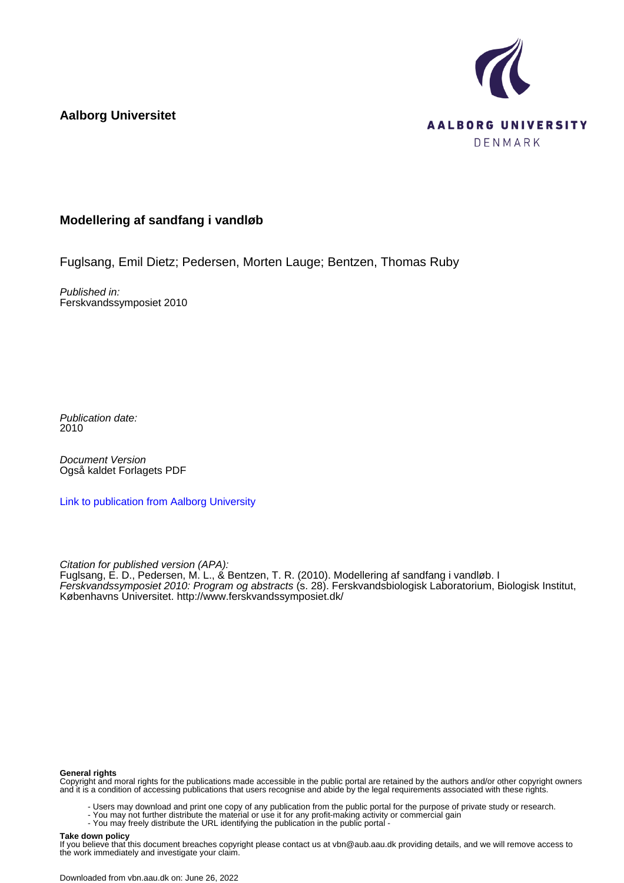



## **Modellering af sandfang i vandløb**

Fuglsang, Emil Dietz; Pedersen, Morten Lauge; Bentzen, Thomas Ruby

Published in: Ferskvandssymposiet 2010

Publication date: 2010

Document Version Også kaldet Forlagets PDF

[Link to publication from Aalborg University](https://vbn.aau.dk/da/publications/9f336e69-e3f5-4349-9ea3-990233451736)

Citation for published version (APA):

Fuglsang, E. D., Pedersen, M. L., & Bentzen, T. R. (2010). Modellering af sandfang i vandløb. I Ferskvandssymposiet 2010: Program og abstracts (s. 28). Ferskvandsbiologisk Laboratorium, Biologisk Institut, Københavns Universitet. <http://www.ferskvandssymposiet.dk/>

## **General rights**

Copyright and moral rights for the publications made accessible in the public portal are retained by the authors and/or other copyright owners and it is a condition of accessing publications that users recognise and abide by the legal requirements associated with these rights.

- Users may download and print one copy of any publication from the public portal for the purpose of private study or research.
- You may not further distribute the material or use it for any profit-making activity or commercial gain
- You may freely distribute the URL identifying the publication in the public portal -

## **Take down policy**

If you believe that this document breaches copyright please contact us at vbn@aub.aau.dk providing details, and we will remove access to the work immediately and investigate your claim.